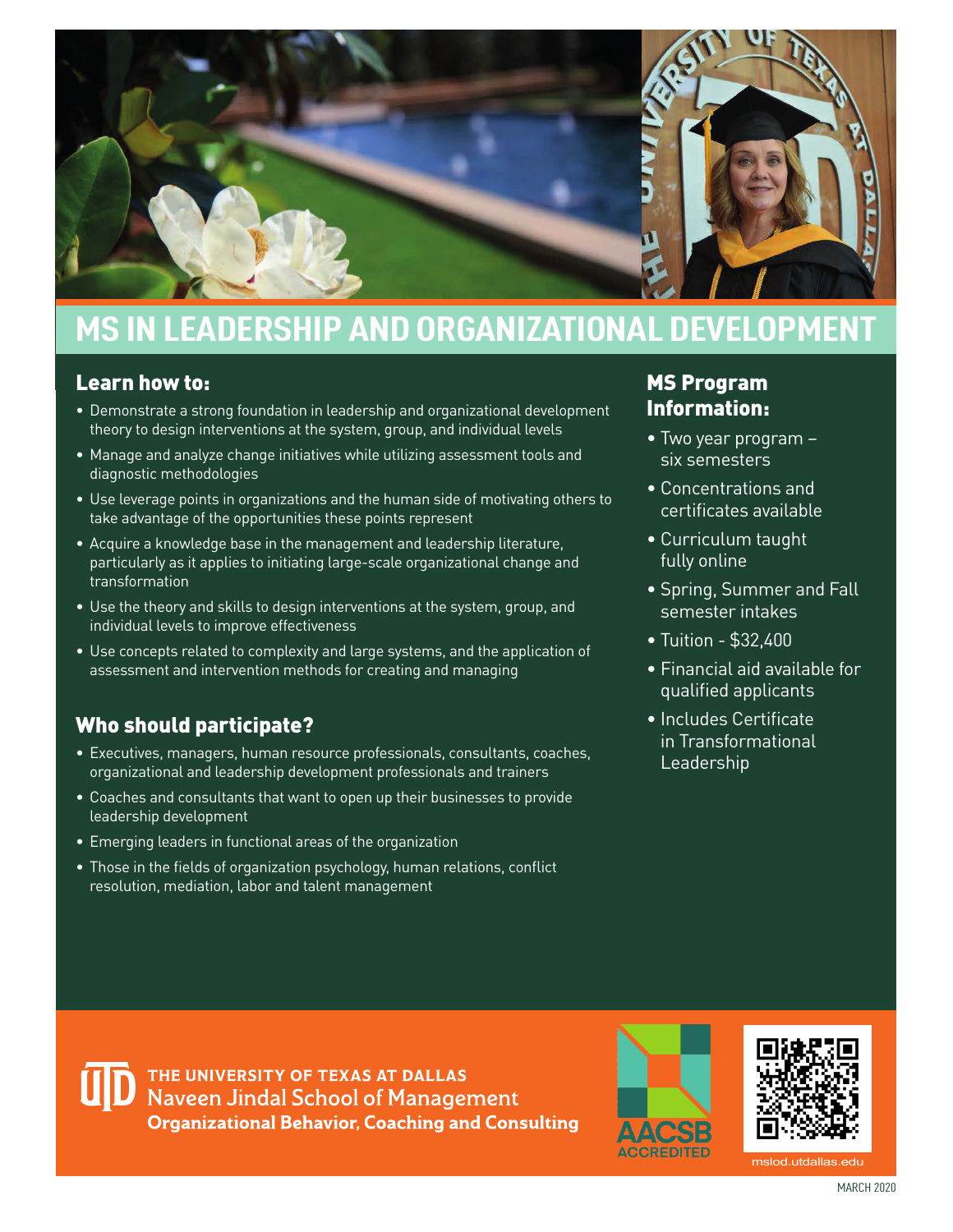

# **MS IN LEADERSHIP AND ORGANIZATIONAL DEVELOPMENT**

#### Learn how to:

- Demonstrate a strong foundation in leadership and organizational development theory to design interventions at the system, group, and individual levels
- Manage and analyze change initiatives while utilizing assessment tools and diagnostic methodologies
- Use leverage points in organizations and the human side of motivating others to take advantage of the opportunities these points represent
- Acquire a knowledge base in the management and leadership literature, particularly as it applies to initiating large-scale organizational change and transformation
- Use the theory and skills to design interventions at the system, group, and individual levels to improve effectiveness
- Use concepts related to complexity and large systems, and the application of assessment and intervention methods for creating and managing

### Who should participate?

- Executives, managers, human resource professionals, consultants, coaches, organizational and leadership development professionals and trainers
- Coaches and consultants that want to open up their businesses to provide leadership development
- Emerging leaders in functional areas of the organization
- Those in the fields of organization psychology, human relations, conflict resolution, mediation, labor and talent management

#### MS Program Information:

- Two year program six semesters
- Concentrations and certifcates available
- Curriculum taught fully online
- Spring, Summer and Fall semester intakes
- Tuition \$32,400
- Financial aid available for qualifed applicants
- Includes Certificate in Transformational Leadership

THE UNIVERSITY OF TEXAS AT DALLAS Naveen Jindal School of Management **Organizational Behavior, Coaching and Consulting** 





mslod.utdallas.edu